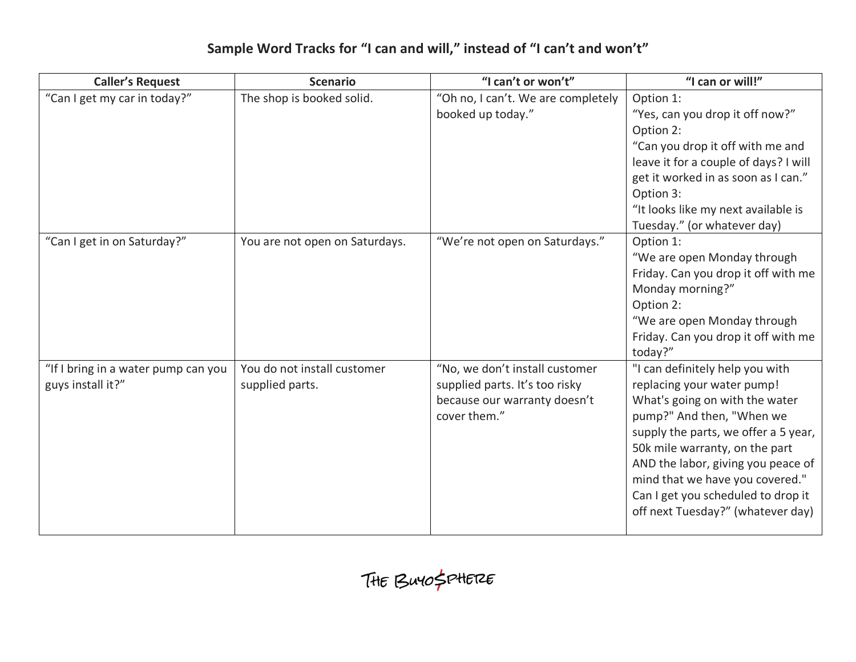## **Sample Word Tracks for "I can and will," instead of "I can't and won't"**

| <b>Caller's Request</b>                                  | <b>Scenario</b>                                | "I can't or won't"                                                                                               | "I can or will!"                                                                                                                                                                                                                                                                                                                                           |
|----------------------------------------------------------|------------------------------------------------|------------------------------------------------------------------------------------------------------------------|------------------------------------------------------------------------------------------------------------------------------------------------------------------------------------------------------------------------------------------------------------------------------------------------------------------------------------------------------------|
| "Can I get my car in today?"                             | The shop is booked solid.                      | "Oh no, I can't. We are completely<br>booked up today."                                                          | Option 1:<br>"Yes, can you drop it off now?"<br>Option 2:<br>"Can you drop it off with me and<br>leave it for a couple of days? I will<br>get it worked in as soon as I can."<br>Option 3:<br>"It looks like my next available is<br>Tuesday." (or whatever day)                                                                                           |
| "Can I get in on Saturday?"                              | You are not open on Saturdays.                 | "We're not open on Saturdays."                                                                                   | Option 1:<br>"We are open Monday through<br>Friday. Can you drop it off with me<br>Monday morning?"<br>Option 2:<br>"We are open Monday through<br>Friday. Can you drop it off with me<br>today?"                                                                                                                                                          |
| "If I bring in a water pump can you<br>guys install it?" | You do not install customer<br>supplied parts. | "No, we don't install customer<br>supplied parts. It's too risky<br>because our warranty doesn't<br>cover them." | "I can definitely help you with<br>replacing your water pump!<br>What's going on with the water<br>pump?" And then, "When we<br>supply the parts, we offer a 5 year,<br>50k mile warranty, on the part<br>AND the labor, giving you peace of<br>mind that we have you covered."<br>Can I get you scheduled to drop it<br>off next Tuesday?" (whatever day) |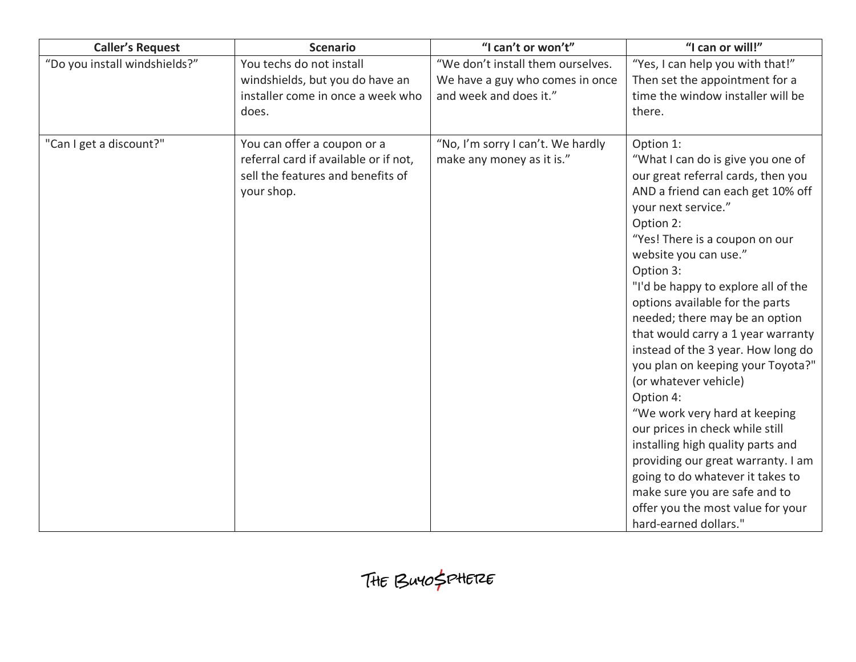| <b>Caller's Request</b>       | <b>Scenario</b>                                                                                                         | "I can't or won't"                                             | "I can or will!"                                                                                                                                                                                                                                                                                                                                                                                                                                                                                                                                                                                                                                                                                                                                                  |
|-------------------------------|-------------------------------------------------------------------------------------------------------------------------|----------------------------------------------------------------|-------------------------------------------------------------------------------------------------------------------------------------------------------------------------------------------------------------------------------------------------------------------------------------------------------------------------------------------------------------------------------------------------------------------------------------------------------------------------------------------------------------------------------------------------------------------------------------------------------------------------------------------------------------------------------------------------------------------------------------------------------------------|
| "Do you install windshields?" | You techs do not install                                                                                                | "We don't install them ourselves.                              | "Yes, I can help you with that!"                                                                                                                                                                                                                                                                                                                                                                                                                                                                                                                                                                                                                                                                                                                                  |
|                               | windshields, but you do have an                                                                                         | We have a guy who comes in once                                | Then set the appointment for a                                                                                                                                                                                                                                                                                                                                                                                                                                                                                                                                                                                                                                                                                                                                    |
|                               | installer come in once a week who                                                                                       | and week and does it."                                         | time the window installer will be                                                                                                                                                                                                                                                                                                                                                                                                                                                                                                                                                                                                                                                                                                                                 |
|                               | does.                                                                                                                   |                                                                | there.                                                                                                                                                                                                                                                                                                                                                                                                                                                                                                                                                                                                                                                                                                                                                            |
| "Can I get a discount?"       | You can offer a coupon or a<br>referral card if available or if not,<br>sell the features and benefits of<br>your shop. | "No, I'm sorry I can't. We hardly<br>make any money as it is." | Option 1:<br>"What I can do is give you one of<br>our great referral cards, then you<br>AND a friend can each get 10% off<br>your next service."<br>Option 2:<br>"Yes! There is a coupon on our<br>website you can use."<br>Option 3:<br>"I'd be happy to explore all of the<br>options available for the parts<br>needed; there may be an option<br>that would carry a 1 year warranty<br>instead of the 3 year. How long do<br>you plan on keeping your Toyota?"<br>(or whatever vehicle)<br>Option 4:<br>"We work very hard at keeping<br>our prices in check while still<br>installing high quality parts and<br>providing our great warranty. I am<br>going to do whatever it takes to<br>make sure you are safe and to<br>offer you the most value for your |
|                               |                                                                                                                         |                                                                | hard-earned dollars."                                                                                                                                                                                                                                                                                                                                                                                                                                                                                                                                                                                                                                                                                                                                             |